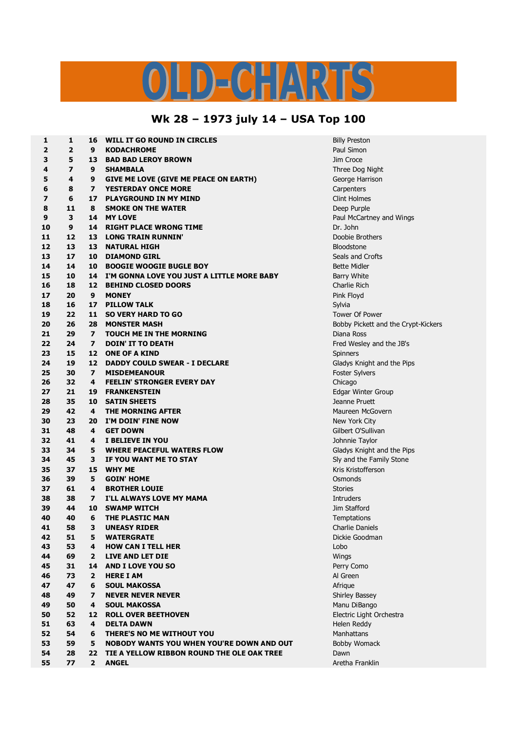## $\bigcap$ DE ЕL

## **Wk 28 – 1973 july 14 – USA Top 100**

| 1                       | 1                       | 16                      | WILL IT GO ROUND IN CIRCLES                      | <b>Billy Preston</b> |
|-------------------------|-------------------------|-------------------------|--------------------------------------------------|----------------------|
| $\overline{\mathbf{2}}$ | $\overline{\mathbf{2}}$ | 9                       | <b>KODACHROME</b>                                | Paul Simon           |
| 3                       | 5                       | 13                      | <b>BAD BAD LEROY BROWN</b>                       | Jim Croce            |
| 4                       | $\overline{\mathbf{z}}$ | 9                       | <b>SHAMBALA</b>                                  | Three Dog N          |
| 5                       | 4                       | 9                       | <b>GIVE ME LOVE (GIVE ME PEACE ON EARTH)</b>     | George Harr          |
| 6                       | 8                       | $\overline{ }$          | <b>YESTERDAY ONCE MORE</b>                       | Carpenters           |
| $\overline{\mathbf{z}}$ | 6                       | 17                      | <b>PLAYGROUND IN MY MIND</b>                     | <b>Clint Holmes</b>  |
| 8                       | 11                      | 8                       | <b>SMOKE ON THE WATER</b>                        | Deep Purple          |
| 9                       | 3                       | 14                      | <b>MY LOVE</b>                                   | Paul McCart          |
| 10                      | 9                       | 14                      | <b>RIGHT PLACE WRONG TIME</b>                    | Dr. John             |
| 11                      | 12                      | 13                      | <b>LONG TRAIN RUNNIN'</b>                        | Doobie Brot          |
| 12                      | 13                      | 13                      | <b>NATURAL HIGH</b>                              | Bloodstone           |
| 13                      | 17                      | 10                      | <b>DIAMOND GIRL</b>                              | Seals and Cr         |
| 14                      | 14                      | 10                      | <b>BOOGIE WOOGIE BUGLE BOY</b>                   | <b>Bette Midler</b>  |
| 15                      | 10                      | 14                      | I'M GONNA LOVE YOU JUST A LITTLE MORE BABY       | <b>Barry White</b>   |
| 16                      | 18                      | 12                      | <b>BEHIND CLOSED DOORS</b>                       | Charlie Rich         |
| 17                      | 20                      | 9                       | <b>MONEY</b>                                     | Pink Floyd           |
| 18                      | 16                      | 17                      | <b>PILLOW TALK</b>                               | Sylvia               |
| 19                      | 22                      | 11                      | <b>SO VERY HARD TO GO</b>                        | Tower Of Po          |
| 20                      | 26                      | 28                      | <b>MONSTER MASH</b>                              | <b>Bobby Picke</b>   |
| 21                      | 29                      | $\overline{ }$          | <b>TOUCH ME IN THE MORNING</b>                   | Diana Ross           |
| 22                      | 24                      | $\overline{\mathbf{z}}$ | <b>DOIN' IT TO DEATH</b>                         | Fred Wesley          |
| 23                      | 15                      | 12                      | <b>ONE OF A KIND</b>                             | Spinners             |
| 24                      | 19                      | 12                      | <b>DADDY COULD SWEAR - I DECLARE</b>             | Gladys Knigl         |
| 25                      | 30                      | $\overline{ }$          | <b>MISDEMEANOUR</b>                              | <b>Foster Sylve</b>  |
| 26                      | 32                      | 4                       | <b>FEELIN' STRONGER EVERY DAY</b>                | Chicago              |
| 27                      | 21                      | 19                      | <b>FRANKENSTEIN</b>                              | <b>Edgar Winte</b>   |
| 28                      | 35                      | 10                      | <b>SATIN SHEETS</b>                              | Jeanne Prue          |
| 29                      | 42                      | 4                       | <b>THE MORNING AFTER</b>                         | Maureen Mc           |
| 30                      | 23                      | 20                      | I'M DOIN' FINE NOW                               | New York Ci          |
| 31                      | 48                      | 4                       | <b>GET DOWN</b>                                  | Gilbert O'Su         |
| 32                      | 41                      | 4                       | I BELIEVE IN YOU                                 | Johnnie Tay          |
| 33                      | 34                      | 5                       | <b>WHERE PEACEFUL WATERS FLOW</b>                | Gladys Knigl         |
| 34                      | 45                      | 3                       | IF YOU WANT ME TO STAY                           | Sly and the          |
| 35                      | 37                      | 15                      | <b>WHY ME</b>                                    | Kris Kristoffe       |
| 36                      | 39                      | 5                       | <b>GOIN' HOME</b>                                | Osmonds              |
| 37                      | 61                      | 4                       | <b>BROTHER LOUIE</b>                             | <b>Stories</b>       |
| 38                      | 38                      | $\overline{\mathbf{z}}$ | I'LL ALWAYS LOVE MY MAMA                         | <b>Intruders</b>     |
| 39                      | 44                      | 10                      | <b>SWAMP WITCH</b>                               | Jim Stafford         |
| 40                      | 40                      | 6                       | THE PLASTIC MAN                                  | Temptations          |
| 41                      | 58                      | $\mathbf{3}$            | <b>UNEASY RIDER</b>                              | Charlie Dani         |
| 42                      | 51                      | 5                       | <b>WATERGRATE</b>                                | Dickie Good          |
| 43                      | 53                      | 4                       | <b>HOW CAN I TELL HER</b>                        | Lobo                 |
| 44                      | 69                      | 2                       | <b>LIVE AND LET DIE</b>                          | Wings                |
| 45                      | 31                      | 14                      | <b>AND I LOVE YOU SO</b>                         | Perry Como           |
| 46                      | 73                      | 2                       | <b>HERE I AM</b>                                 | Al Green             |
| 47                      | 47                      | 6                       | <b>SOUL MAKOSSA</b>                              | Afrique              |
| 48                      | 49                      | 7                       | <b>NEVER NEVER NEVER</b>                         | <b>Shirley Bass</b>  |
| 49                      | 50                      | 4                       | <b>SOUL MAKOSSA</b>                              | Manu DiBan           |
| 50                      | 52                      | 12                      | <b>ROLL OVER BEETHOVEN</b>                       | Electric Ligh        |
| 51                      | 63                      | 4                       | <b>DELTA DAWN</b>                                | Helen Reddy          |
| 52                      | 54                      | 6                       | THERE'S NO ME WITHOUT YOU                        | Manhattans           |
| 53                      | 59                      | 5                       | <b>NOBODY WANTS YOU WHEN YOU'RE DOWN AND OUT</b> | <b>Bobby Wom</b>     |
| 54                      | 28                      | 22                      | TIE A YELLOW RIBBON ROUND THE OLE OAK TREE       | Dawn                 |
| 55                      | 77                      | $\overline{2}$          | <b>ANGEL</b>                                     | Aretha Franl         |
|                         |                         |                         |                                                  |                      |

**illy Preston 7 9 SHAMBALA** Three Dog Night **4 9 GIVE ME LOVE (GIVE ME PEACE ON EARTH)** George Harrison **int Holmes 3 14 MY LOVE** Paul McCartney and Wings **100bie Brothers 17 10 DIAMOND GIRL** Seals and Crofts **22 11 SO VERY HARD TO GO** Tower Of Power **26 28 MONSTER MASH** Bobby Pickett and the Crypt-Kickers **24 7 DOIN' IT TO DEATH** Fred Wesley and the JB's **19 12 DADDY COULD SWEAR - I DECLARE** Gladys Knight and the Pips *i* Sylvers **21 19 FRANKENSTEIN** Edgar Winter Group **35 10 SATIN SHEETS** Jeanne Pruett **42 4 THE MORNING AFTER** Maureen McGovern **20 20 20 20 20 20 20 48 4 GET DOWN** Gilbert O'Sullivan **41 4 I BELIEVE IN YOU** Johnnie Taylor **34 5 WHERE PEACEFUL WATERS FLOW** Gladys Knight and the Pips **Iy and the Family Stone 37 15 WHY ME** Kris Kristofferson  $T$ emptations **harlie Daniels 51 5 WATERGRATE** Dickie Goodman **49 7 NEVER NEVER NEVER** Shirley Bassey **50 4 SOUL MAKOSSA** Manu DiBango **Jectric Light Orchestra**  Reddy bby Womack **77 2 ANGEL** Aretha Franklin